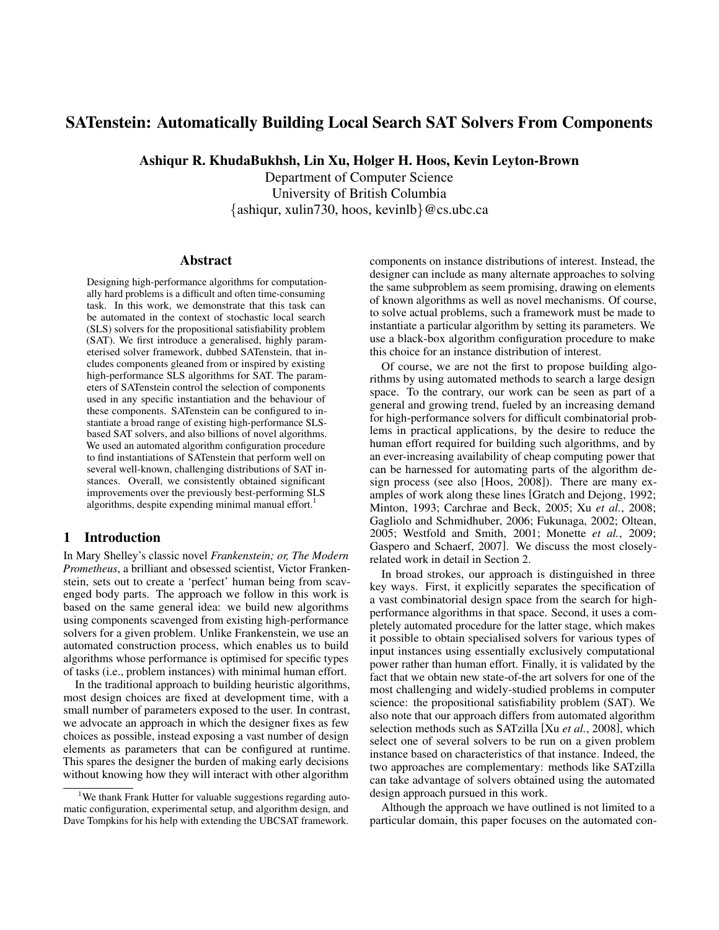# SATenstein: Automatically Building Local Search SAT Solvers From Components

Ashiqur R. KhudaBukhsh, Lin Xu, Holger H. Hoos, Kevin Leyton-Brown

Department of Computer Science University of British Columbia {ashiqur, xulin730, hoos, kevinlb}@cs.ubc.ca

#### Abstract

Designing high-performance algorithms for computationally hard problems is a difficult and often time-consuming task. In this work, we demonstrate that this task can be automated in the context of stochastic local search (SLS) solvers for the propositional satisfiability problem (SAT). We first introduce a generalised, highly parameterised solver framework, dubbed SATenstein, that includes components gleaned from or inspired by existing high-performance SLS algorithms for SAT. The parameters of SATenstein control the selection of components used in any specific instantiation and the behaviour of these components. SATenstein can be configured to instantiate a broad range of existing high-performance SLSbased SAT solvers, and also billions of novel algorithms. We used an automated algorithm configuration procedure to find instantiations of SATenstein that perform well on several well-known, challenging distributions of SAT instances. Overall, we consistently obtained significant improvements over the previously best-performing SLS algorithms, despite expending minimal manual effort.<sup>1</sup>

### 1 Introduction

In Mary Shelley's classic novel *Frankenstein; or, The Modern Prometheus*, a brilliant and obsessed scientist, Victor Frankenstein, sets out to create a 'perfect' human being from scavenged body parts. The approach we follow in this work is based on the same general idea: we build new algorithms using components scavenged from existing high-performance solvers for a given problem. Unlike Frankenstein, we use an automated construction process, which enables us to build algorithms whose performance is optimised for specific types of tasks (i.e., problem instances) with minimal human effort.

In the traditional approach to building heuristic algorithms, most design choices are fixed at development time, with a small number of parameters exposed to the user. In contrast, we advocate an approach in which the designer fixes as few choices as possible, instead exposing a vast number of design elements as parameters that can be configured at runtime. This spares the designer the burden of making early decisions without knowing how they will interact with other algorithm

components on instance distributions of interest. Instead, the designer can include as many alternate approaches to solving the same subproblem as seem promising, drawing on elements of known algorithms as well as novel mechanisms. Of course, to solve actual problems, such a framework must be made to instantiate a particular algorithm by setting its parameters. We use a black-box algorithm configuration procedure to make this choice for an instance distribution of interest.

Of course, we are not the first to propose building algorithms by using automated methods to search a large design space. To the contrary, our work can be seen as part of a general and growing trend, fueled by an increasing demand for high-performance solvers for difficult combinatorial problems in practical applications, by the desire to reduce the human effort required for building such algorithms, and by an ever-increasing availability of cheap computing power that can be harnessed for automating parts of the algorithm design process (see also [Hoos, 2008]). There are many examples of work along these lines [Gratch and Dejong, 1992; Minton, 1993; Carchrae and Beck, 2005; Xu *et al.*, 2008; Gagliolo and Schmidhuber, 2006; Fukunaga, 2002; Oltean, 2005; Westfold and Smith, 2001; Monette *et al.*, 2009; Gaspero and Schaerf, 2007]. We discuss the most closelyrelated work in detail in Section 2.

In broad strokes, our approach is distinguished in three key ways. First, it explicitly separates the specification of a vast combinatorial design space from the search for highperformance algorithms in that space. Second, it uses a completely automated procedure for the latter stage, which makes it possible to obtain specialised solvers for various types of input instances using essentially exclusively computational power rather than human effort. Finally, it is validated by the fact that we obtain new state-of-the art solvers for one of the most challenging and widely-studied problems in computer science: the propositional satisfiability problem (SAT). We also note that our approach differs from automated algorithm selection methods such as SATzilla [Xu *et al.*, 2008], which select one of several solvers to be run on a given problem instance based on characteristics of that instance. Indeed, the two approaches are complementary: methods like SATzilla can take advantage of solvers obtained using the automated design approach pursued in this work.

Although the approach we have outlined is not limited to a particular domain, this paper focuses on the automated con-

<sup>&</sup>lt;sup>1</sup>We thank Frank Hutter for valuable suggestions regarding automatic configuration, experimental setup, and algorithm design, and Dave Tompkins for his help with extending the UBCSAT framework.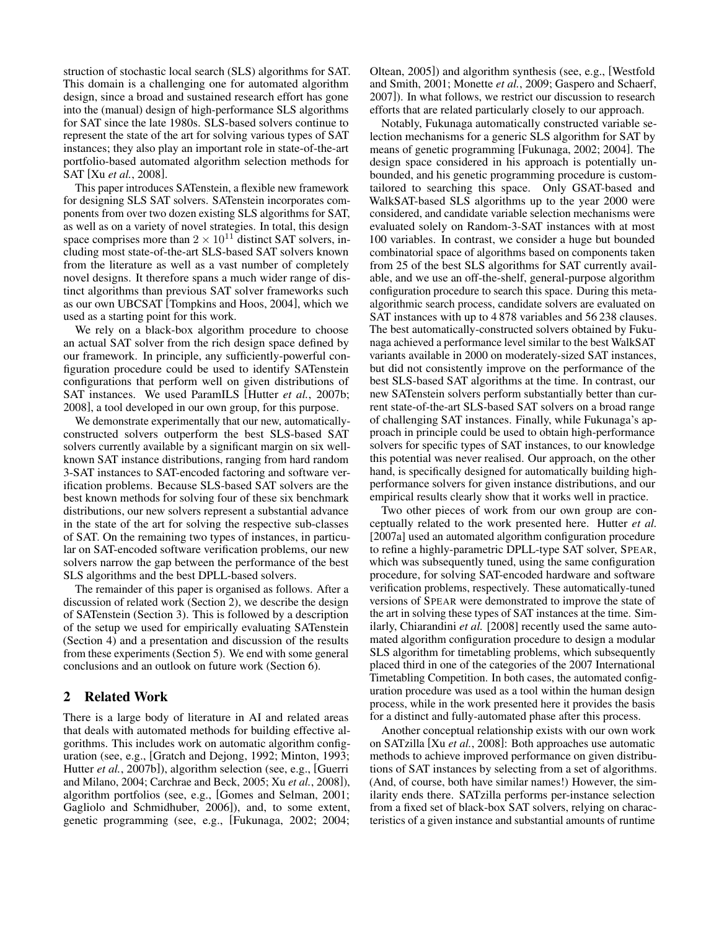struction of stochastic local search (SLS) algorithms for SAT. This domain is a challenging one for automated algorithm design, since a broad and sustained research effort has gone into the (manual) design of high-performance SLS algorithms for SAT since the late 1980s. SLS-based solvers continue to represent the state of the art for solving various types of SAT instances; they also play an important role in state-of-the-art portfolio-based automated algorithm selection methods for SAT [Xu *et al.*, 2008].

This paper introduces SATenstein, a flexible new framework for designing SLS SAT solvers. SATenstein incorporates components from over two dozen existing SLS algorithms for SAT, as well as on a variety of novel strategies. In total, this design space comprises more than  $2 \times 10^{11}$  distinct SAT solvers, including most state-of-the-art SLS-based SAT solvers known from the literature as well as a vast number of completely novel designs. It therefore spans a much wider range of distinct algorithms than previous SAT solver frameworks such as our own UBCSAT [Tompkins and Hoos, 2004], which we used as a starting point for this work.

We rely on a black-box algorithm procedure to choose an actual SAT solver from the rich design space defined by our framework. In principle, any sufficiently-powerful configuration procedure could be used to identify SATenstein configurations that perform well on given distributions of SAT instances. We used ParamILS [Hutter *et al.*, 2007b; 2008], a tool developed in our own group, for this purpose.

We demonstrate experimentally that our new, automaticallyconstructed solvers outperform the best SLS-based SAT solvers currently available by a significant margin on six wellknown SAT instance distributions, ranging from hard random 3-SAT instances to SAT-encoded factoring and software verification problems. Because SLS-based SAT solvers are the best known methods for solving four of these six benchmark distributions, our new solvers represent a substantial advance in the state of the art for solving the respective sub-classes of SAT. On the remaining two types of instances, in particular on SAT-encoded software verification problems, our new solvers narrow the gap between the performance of the best SLS algorithms and the best DPLL-based solvers.

The remainder of this paper is organised as follows. After a discussion of related work (Section 2), we describe the design of SATenstein (Section 3). This is followed by a description of the setup we used for empirically evaluating SATenstein (Section 4) and a presentation and discussion of the results from these experiments (Section 5). We end with some general conclusions and an outlook on future work (Section 6).

### 2 Related Work

There is a large body of literature in AI and related areas that deals with automated methods for building effective algorithms. This includes work on automatic algorithm configuration (see, e.g., [Gratch and Dejong, 1992; Minton, 1993; Hutter *et al.*, 2007b]), algorithm selection (see, e.g., [Guerri and Milano, 2004; Carchrae and Beck, 2005; Xu *et al.*, 2008]), algorithm portfolios (see, e.g., [Gomes and Selman, 2001; Gagliolo and Schmidhuber, 2006]), and, to some extent, genetic programming (see, e.g., [Fukunaga, 2002; 2004;

Oltean, 2005]) and algorithm synthesis (see, e.g., [Westfold and Smith, 2001; Monette *et al.*, 2009; Gaspero and Schaerf, 2007]). In what follows, we restrict our discussion to research efforts that are related particularly closely to our approach.

Notably, Fukunaga automatically constructed variable selection mechanisms for a generic SLS algorithm for SAT by means of genetic programming [Fukunaga, 2002; 2004]. The design space considered in his approach is potentially unbounded, and his genetic programming procedure is customtailored to searching this space. Only GSAT-based and WalkSAT-based SLS algorithms up to the year 2000 were considered, and candidate variable selection mechanisms were evaluated solely on Random-3-SAT instances with at most 100 variables. In contrast, we consider a huge but bounded combinatorial space of algorithms based on components taken from 25 of the best SLS algorithms for SAT currently available, and we use an off-the-shelf, general-purpose algorithm configuration procedure to search this space. During this metaalgorithmic search process, candidate solvers are evaluated on SAT instances with up to 4 878 variables and 56 238 clauses. The best automatically-constructed solvers obtained by Fukunaga achieved a performance level similar to the best WalkSAT variants available in 2000 on moderately-sized SAT instances, but did not consistently improve on the performance of the best SLS-based SAT algorithms at the time. In contrast, our new SATenstein solvers perform substantially better than current state-of-the-art SLS-based SAT solvers on a broad range of challenging SAT instances. Finally, while Fukunaga's approach in principle could be used to obtain high-performance solvers for specific types of SAT instances, to our knowledge this potential was never realised. Our approach, on the other hand, is specifically designed for automatically building highperformance solvers for given instance distributions, and our empirical results clearly show that it works well in practice.

Two other pieces of work from our own group are conceptually related to the work presented here. Hutter *et al.* [2007a] used an automated algorithm configuration procedure to refine a highly-parametric DPLL-type SAT solver, SPEAR, which was subsequently tuned, using the same configuration procedure, for solving SAT-encoded hardware and software verification problems, respectively. These automatically-tuned versions of SPEAR were demonstrated to improve the state of the art in solving these types of SAT instances at the time. Similarly, Chiarandini *et al.* [2008] recently used the same automated algorithm configuration procedure to design a modular SLS algorithm for timetabling problems, which subsequently placed third in one of the categories of the 2007 International Timetabling Competition. In both cases, the automated configuration procedure was used as a tool within the human design process, while in the work presented here it provides the basis for a distinct and fully-automated phase after this process.

Another conceptual relationship exists with our own work on SATzilla [Xu *et al.*, 2008]: Both approaches use automatic methods to achieve improved performance on given distributions of SAT instances by selecting from a set of algorithms. (And, of course, both have similar names!) However, the similarity ends there. SATzilla performs per-instance selection from a fixed set of black-box SAT solvers, relying on characteristics of a given instance and substantial amounts of runtime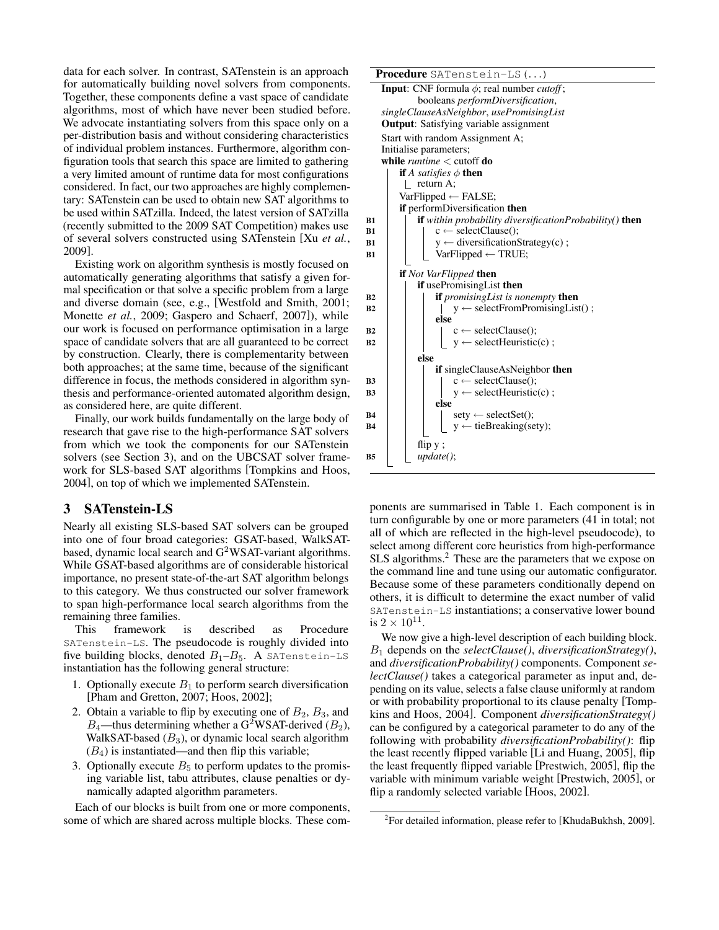data for each solver. In contrast, SATenstein is an approach for automatically building novel solvers from components. Together, these components define a vast space of candidate algorithms, most of which have never been studied before. We advocate instantiating solvers from this space only on a per-distribution basis and without considering characteristics of individual problem instances. Furthermore, algorithm configuration tools that search this space are limited to gathering a very limited amount of runtime data for most configurations considered. In fact, our two approaches are highly complementary: SATenstein can be used to obtain new SAT algorithms to be used within SATzilla. Indeed, the latest version of SATzilla (recently submitted to the 2009 SAT Competition) makes use of several solvers constructed using SATenstein [Xu *et al.*, 2009].

Existing work on algorithm synthesis is mostly focused on automatically generating algorithms that satisfy a given formal specification or that solve a specific problem from a large and diverse domain (see, e.g., [Westfold and Smith, 2001; Monette *et al.*, 2009; Gaspero and Schaerf, 2007]), while our work is focused on performance optimisation in a large space of candidate solvers that are all guaranteed to be correct by construction. Clearly, there is complementarity between both approaches; at the same time, because of the significant difference in focus, the methods considered in algorithm synthesis and performance-oriented automated algorithm design, as considered here, are quite different.

Finally, our work builds fundamentally on the large body of research that gave rise to the high-performance SAT solvers from which we took the components for our SATenstein solvers (see Section 3), and on the UBCSAT solver framework for SLS-based SAT algorithms [Tompkins and Hoos, 2004], on top of which we implemented SATenstein.

### 3 SATenstein-LS

Nearly all existing SLS-based SAT solvers can be grouped into one of four broad categories: GSAT-based, WalkSATbased, dynamic local search and G<sup>2</sup>WSAT-variant algorithms. While GSAT-based algorithms are of considerable historical importance, no present state-of-the-art SAT algorithm belongs to this category. We thus constructed our solver framework to span high-performance local search algorithms from the remaining three families.

This framework is described as Procedure SATenstein-LS. The pseudocode is roughly divided into five building blocks, denoted  $B_1 - B_5$ . A SATenstein-LS instantiation has the following general structure:

- 1. Optionally execute  $B_1$  to perform search diversification [Pham and Gretton, 2007; Hoos, 2002];
- 2. Obtain a variable to flip by executing one of  $B_2, B_3$ , and  $B_4$ —thus determining whether a G<sup>2</sup>WSAT-derived ( $B_2$ ), WalkSAT-based  $(B_3)$ , or dynamic local search algorithm  $(B_4)$  is instantiated—and then flip this variable;
- 3. Optionally execute  $B_5$  to perform updates to the promising variable list, tabu attributes, clause penalties or dynamically adapted algorithm parameters.

Each of our blocks is built from one or more components, some of which are shared across multiple blocks. These comProcedure SATenstein-LS(...) **Input**: CNF formula  $\phi$ ; real number *cutoff*;

|           | <b>Input:</b> CNF formula $\varphi$ ; real number <i>cutoff</i> ; |
|-----------|-------------------------------------------------------------------|
|           | booleans <i>performDiversification</i> ,                          |
|           | singleClauseAsNeighbor, usePromisingList                          |
|           | <b>Output:</b> Satisfying variable assignment                     |
|           | Start with random Assignment A;                                   |
|           | Initialise parameters;                                            |
|           | while <i>runtime</i> $<$ cutoff do                                |
|           | <b>if</b> A satisfies $\phi$ then                                 |
|           | return A:                                                         |
|           | $VarFlipped \leftarrow FALSE;$                                    |
|           | if performDiversification then                                    |
| B1        | if within probability diversificationProbability() then           |
| B1        | $c \leftarrow \text{selectClause}$ .                              |
| B1        | $y \leftarrow$ diversification Strategy(c);                       |
| B1        | $VarFlipped \leftarrow TRUE;$                                     |
|           | <b>if</b> Not VarFlipped <b>then</b>                              |
|           | <b>if</b> usePromisingList then                                   |
| В2        | if promising List is nonempty then                                |
| B2        | $y \leftarrow \text{selectFrom PromisingList}()$ ;                |
|           | else                                                              |
| B2        | $c \leftarrow \text{selectClause}$ .                              |
| <b>B2</b> | $y \leftarrow \text{selectHeuristic}(c)$ ;                        |
|           | else                                                              |
|           | if singleClauseAsNeighbor then                                    |
| B3        | $c \leftarrow \text{selectClause}();$                             |
| B3        | $y \leftarrow \text{selectHeuristic}(c)$ ;                        |
|           | else                                                              |
| В4        | $sety \leftarrow selectSet()$ ;                                   |
| B4        | $y \leftarrow$ tieBreaking(sety);                                 |
|           | flip $y$ ;                                                        |
| B5        | update();                                                         |
|           |                                                                   |

ponents are summarised in Table 1. Each component is in turn configurable by one or more parameters (41 in total; not all of which are reflected in the high-level pseudocode), to select among different core heuristics from high-performance SLS algorithms.<sup>2</sup> These are the parameters that we expose on the command line and tune using our automatic configurator. Because some of these parameters conditionally depend on others, it is difficult to determine the exact number of valid SATenstein-LS instantiations; a conservative lower bound is  $2 \times 10^{11}$ .

We now give a high-level description of each building block. B<sup>1</sup> depends on the *selectClause()*, *diversificationStrategy()*, and *diversificationProbability()* components. Component *selectClause()* takes a categorical parameter as input and, depending on its value, selects a false clause uniformly at random or with probability proportional to its clause penalty [Tompkins and Hoos, 2004]. Component *diversificationStrategy()* can be configured by a categorical parameter to do any of the following with probability *diversificationProbability()*: flip the least recently flipped variable [Li and Huang, 2005], flip the least frequently flipped variable [Prestwich, 2005], flip the variable with minimum variable weight [Prestwich, 2005], or flip a randomly selected variable [Hoos, 2002].

<sup>&</sup>lt;sup>2</sup> For detailed information, please refer to [KhudaBukhsh, 2009].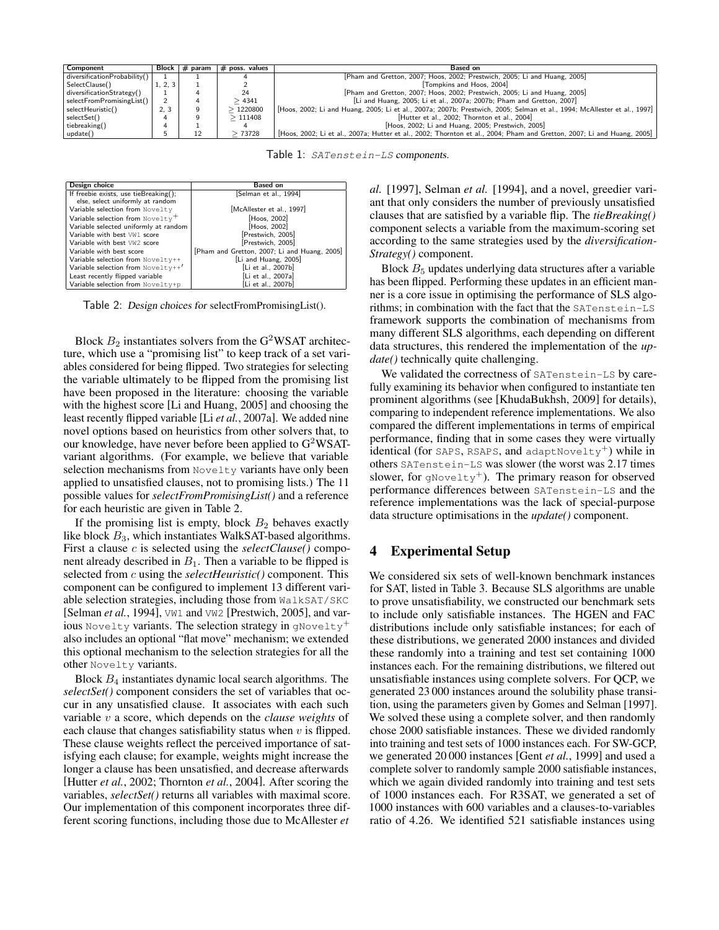| Component                    |          | Block $\frac{1}{2}$ param | $#$ poss. values | Based on                                                                                                               |
|------------------------------|----------|---------------------------|------------------|------------------------------------------------------------------------------------------------------------------------|
| diversificationProbability() |          |                           |                  | [Pham and Gretton, 2007; Hoos, 2002; Prestwich, 2005; Li and Huang, 2005]                                              |
| SelectClause()               | 1, 2, 3' |                           |                  | Tompkins and Hoos. 2004]                                                                                               |
| diversificationStrategy()    |          |                           |                  | Pham and Gretton, 2007; Hoos, 2002; Prestwich, 2005; Li and Huang, 2005                                                |
| selectFromPromisingList()    |          |                           | >4341            | [Li and Huang, 2005; Li et al., 2007a; 2007b; Pham and Gretton, 2007]                                                  |
| selectHeuristic()            | 2, 3     |                           | >1220800         | Hoos, 2002; Li and Huang, 2005; Li et al., 2007a; 2007b; Prestwich, 2005; Selman et al., 1994; McAllester et al., 1997 |
| selectSet()                  |          |                           | >111408          | [Hutter et al., 2002; Thornton et al., 2004]                                                                           |
| tiebreaking()                |          |                           |                  | Hoos, 2002; Li and Huang, 2005; Prestwich, 2005                                                                        |
| update()                     |          |                           | >73728           | [Hoos, 2002; Li et al., 2007a; Hutter et al., 2002; Thornton et al., 2004; Pham and Gretton, 2007; Li and Huang, 2005] |

Table 1: SATenstein-LS components.

| Design choice                                | <b>Based on</b>                              |
|----------------------------------------------|----------------------------------------------|
| If freebie exists, use tieBreaking();        | [Selman et al., 1994]                        |
| else, select uniformly at random             |                                              |
| Variable selection from Novelty              | [McAllester et al., 1997]                    |
| Variable selection from Novelty <sup>+</sup> | Hoos, 2002                                   |
| Variable selected uniformly at random        | [Hoos, 2002]                                 |
| Variable with best VW1 score                 | [Prestwich, 2005]                            |
| Variable with best VW2 score                 | Prestwich, 2005                              |
| Variable with best score                     | [Pham and Gretton, 2007; Li and Huang, 2005] |
| Variable selection from Novelty++            | [Li and Huang, 2005]                         |
| Variable selection from Novelty++'           | [Li et al., 2007b]                           |
| Least recently flipped variable              | [Li et al., 2007a]                           |
| Variable selection from Novelty+p            | [Li et al., 2007b]                           |

Table 2: Design choices for selectFromPromisingList().

Block  $B_2$  instantiates solvers from the G<sup>2</sup>WSAT architecture, which use a "promising list" to keep track of a set variables considered for being flipped. Two strategies for selecting the variable ultimately to be flipped from the promising list have been proposed in the literature: choosing the variable with the highest score [Li and Huang, 2005] and choosing the least recently flipped variable [Li *et al.*, 2007a]. We added nine novel options based on heuristics from other solvers that, to our knowledge, have never before been applied to  $G^2WSAT$ variant algorithms. (For example, we believe that variable selection mechanisms from Novelty variants have only been applied to unsatisfied clauses, not to promising lists.) The 11 possible values for *selectFromPromisingList()* and a reference for each heuristic are given in Table 2.

If the promising list is empty, block  $B_2$  behaves exactly like block B3, which instantiates WalkSAT-based algorithms. First a clause c is selected using the *selectClause()* component already described in  $B_1$ . Then a variable to be flipped is selected from c using the *selectHeuristic()* component. This component can be configured to implement 13 different variable selection strategies, including those from WalkSAT/SKC [Selman *et al.*, 1994], VW1 and VW2 [Prestwich, 2005], and various Novelty variants. The selection strategy in gNovelty<sup>+</sup> also includes an optional "flat move" mechanism; we extended this optional mechanism to the selection strategies for all the other Novelty variants.

Block  $B_4$  instantiates dynamic local search algorithms. The *selectSet()* component considers the set of variables that occur in any unsatisfied clause. It associates with each such variable v a score, which depends on the *clause weights* of each clause that changes satisfiability status when  $v$  is flipped. These clause weights reflect the perceived importance of satisfying each clause; for example, weights might increase the longer a clause has been unsatisfied, and decrease afterwards [Hutter *et al.*, 2002; Thornton *et al.*, 2004]. After scoring the variables, *selectSet()* returns all variables with maximal score. Our implementation of this component incorporates three different scoring functions, including those due to McAllester *et*

*al.* [1997], Selman *et al.* [1994], and a novel, greedier variant that only considers the number of previously unsatisfied clauses that are satisfied by a variable flip. The *tieBreaking()* component selects a variable from the maximum-scoring set according to the same strategies used by the *diversification-Strategy()* component.

Block  $B_5$  updates underlying data structures after a variable has been flipped. Performing these updates in an efficient manner is a core issue in optimising the performance of SLS algorithms; in combination with the fact that the SATenstein-LS framework supports the combination of mechanisms from many different SLS algorithms, each depending on different data structures, this rendered the implementation of the *update()* technically quite challenging.

We validated the correctness of SATenstein-LS by carefully examining its behavior when configured to instantiate ten prominent algorithms (see [KhudaBukhsh, 2009] for details), comparing to independent reference implementations. We also compared the different implementations in terms of empirical performance, finding that in some cases they were virtually identical (for SAPS, RSAPS, and adaptNovelty<sup>+</sup>) while in others SATenstein-LS was slower (the worst was 2.17 times slower, for gNovelty<sup>+</sup>). The primary reason for observed performance differences between SATenstein-LS and the reference implementations was the lack of special-purpose data structure optimisations in the *update()* component.

#### 4 Experimental Setup

We considered six sets of well-known benchmark instances for SAT, listed in Table 3. Because SLS algorithms are unable to prove unsatisfiability, we constructed our benchmark sets to include only satisfiable instances. The HGEN and FAC distributions include only satisfiable instances; for each of these distributions, we generated 2000 instances and divided these randomly into a training and test set containing 1000 instances each. For the remaining distributions, we filtered out unsatisfiable instances using complete solvers. For QCP, we generated 23 000 instances around the solubility phase transition, using the parameters given by Gomes and Selman [1997]. We solved these using a complete solver, and then randomly chose 2000 satisfiable instances. These we divided randomly into training and test sets of 1000 instances each. For SW-GCP, we generated 20 000 instances [Gent *et al.*, 1999] and used a complete solver to randomly sample 2000 satisfiable instances, which we again divided randomly into training and test sets of 1000 instances each. For R3SAT, we generated a set of 1000 instances with 600 variables and a clauses-to-variables ratio of 4.26. We identified 521 satisfiable instances using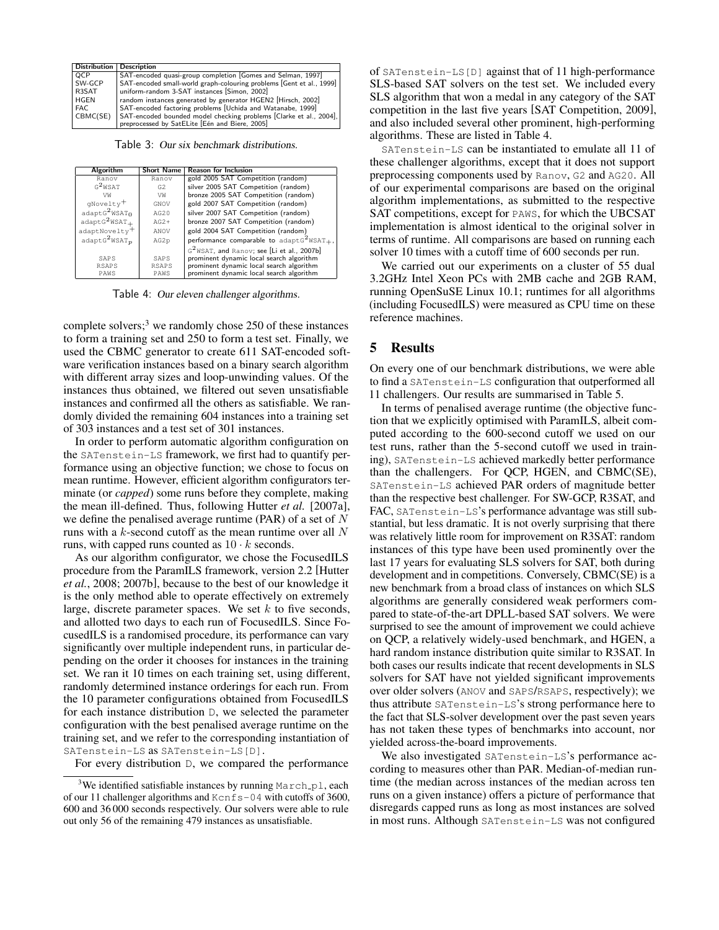|            | Distribution   Description                                                                                        |
|------------|-------------------------------------------------------------------------------------------------------------------|
| <b>QCP</b> | SAT-encoded quasi-group completion Gomes and Selman, 1997                                                         |
| SW-GCP     | SAT-encoded small-world graph-colouring problems Gent et al., 1999                                                |
| R3SAT      | uniform-random 3-SAT instances [Simon, 2002]                                                                      |
| HGEN       | random instances generated by generator HGEN2 [Hirsch, 2002]                                                      |
| FAC.       | SAT-encoded factoring problems [Uchida and Watanabe, 1999]                                                        |
| CBMC(SE)   | SAT-encoded bounded model checking problems Clarke et al., 2004],<br>preprocessed by SatELite Een and Biere, 2005 |
|            |                                                                                                                   |

Table 3: Our six benchmark distributions.

| Algorithm                             | <b>Short Name</b> | <b>Reason for Inclusion</b>                            |
|---------------------------------------|-------------------|--------------------------------------------------------|
| Ranov                                 | Ranov             | gold 2005 SAT Competition (random)                     |
| $G^2$ WSAT                            | G <sub>2</sub>    | silver 2005 SAT Competition (random)                   |
| VW                                    | VW                | bronze 2005 SAT Competition (random)                   |
| qNovelty <sup>+</sup>                 | GNOV              | gold 2007 SAT Competition (random)                     |
| adaptG <sup>2</sup> WSAT <sub>0</sub> | AG20              | silver 2007 SAT Competition (random)                   |
| $adaptG2WSAT+$                        | $AG2+$            | bronze 2007 SAT Competition (random)                   |
| adaptNovelty <sup>+</sup>             | ANOV              | gold 2004 SAT Competition (random)                     |
| adaptG <sup>2</sup> WSAT <sub>p</sub> | AG2p              | performance comparable to adapt $G^2WSAT_+$ ,          |
|                                       |                   | G <sup>2</sup> WSAT, and Ranov; see [Li et al., 2007b] |
| SAPS                                  | SAPS              | prominent dynamic local search algorithm               |
| <b>RSAPS</b>                          | <b>RSAPS</b>      | prominent dynamic local search algorithm               |
| PAWS                                  | PAWS              | prominent dynamic local search algorithm               |
|                                       |                   |                                                        |

Table 4: Our eleven challenger algorithms.

complete solvers; $3$  we randomly chose 250 of these instances to form a training set and 250 to form a test set. Finally, we used the CBMC generator to create 611 SAT-encoded software verification instances based on a binary search algorithm with different array sizes and loop-unwinding values. Of the instances thus obtained, we filtered out seven unsatisfiable instances and confirmed all the others as satisfiable. We randomly divided the remaining 604 instances into a training set of 303 instances and a test set of 301 instances.

In order to perform automatic algorithm configuration on the SATenstein-LS framework, we first had to quantify performance using an objective function; we chose to focus on mean runtime. However, efficient algorithm configurators terminate (or *capped*) some runs before they complete, making the mean ill-defined. Thus, following Hutter *et al.* [2007a], we define the penalised average runtime (PAR) of a set of  $N$ runs with a k-second cutoff as the mean runtime over all N runs, with capped runs counted as  $10 \cdot k$  seconds.

As our algorithm configurator, we chose the FocusedILS procedure from the ParamILS framework, version 2.2 [Hutter *et al.*, 2008; 2007b], because to the best of our knowledge it is the only method able to operate effectively on extremely large, discrete parameter spaces. We set  $k$  to five seconds, and allotted two days to each run of FocusedILS. Since FocusedILS is a randomised procedure, its performance can vary significantly over multiple independent runs, in particular depending on the order it chooses for instances in the training set. We ran it 10 times on each training set, using different, randomly determined instance orderings for each run. From the 10 parameter configurations obtained from FocusedILS for each instance distribution D, we selected the parameter configuration with the best penalised average runtime on the training set, and we refer to the corresponding instantiation of SATenstein-LS as SATenstein-LS[D].

For every distribution D, we compared the performance

of SATenstein-LS[D] against that of 11 high-performance SLS-based SAT solvers on the test set. We included every SLS algorithm that won a medal in any category of the SAT competition in the last five years [SAT Competition, 2009], and also included several other prominent, high-performing algorithms. These are listed in Table 4.

SATenstein-LS can be instantiated to emulate all 11 of these challenger algorithms, except that it does not support preprocessing components used by Ranov, G2 and AG20. All of our experimental comparisons are based on the original algorithm implementations, as submitted to the respective SAT competitions, except for PAWS, for which the UBCSAT implementation is almost identical to the original solver in terms of runtime. All comparisons are based on running each solver 10 times with a cutoff time of 600 seconds per run.

We carried out our experiments on a cluster of 55 dual 3.2GHz Intel Xeon PCs with 2MB cache and 2GB RAM, running OpenSuSE Linux 10.1; runtimes for all algorithms (including FocusedILS) were measured as CPU time on these reference machines.

## 5 Results

On every one of our benchmark distributions, we were able to find a SATenstein-LS configuration that outperformed all 11 challengers. Our results are summarised in Table 5.

In terms of penalised average runtime (the objective function that we explicitly optimised with ParamILS, albeit computed according to the 600-second cutoff we used on our test runs, rather than the 5-second cutoff we used in training), SATenstein-LS achieved markedly better performance than the challengers. For QCP, HGEN, and CBMC(SE), SATenstein-LS achieved PAR orders of magnitude better than the respective best challenger. For SW-GCP, R3SAT, and FAC, SATenstein-LS's performance advantage was still substantial, but less dramatic. It is not overly surprising that there was relatively little room for improvement on R3SAT: random instances of this type have been used prominently over the last 17 years for evaluating SLS solvers for SAT, both during development and in competitions. Conversely, CBMC(SE) is a new benchmark from a broad class of instances on which SLS algorithms are generally considered weak performers compared to state-of-the-art DPLL-based SAT solvers. We were surprised to see the amount of improvement we could achieve on QCP, a relatively widely-used benchmark, and HGEN, a hard random instance distribution quite similar to R3SAT. In both cases our results indicate that recent developments in SLS solvers for SAT have not yielded significant improvements over older solvers (ANOV and SAPS/RSAPS, respectively); we thus attribute SATenstein-LS's strong performance here to the fact that SLS-solver development over the past seven years has not taken these types of benchmarks into account, nor yielded across-the-board improvements.

We also investigated SATenstein-LS's performance according to measures other than PAR. Median-of-median runtime (the median across instances of the median across ten runs on a given instance) offers a picture of performance that disregards capped runs as long as most instances are solved in most runs. Although SATenstein-LS was not configured

<sup>&</sup>lt;sup>3</sup>We identified satisfiable instances by running  $March\_pl$ , each of our 11 challenger algorithms and  $Kcnfs-04$  with cutoffs of 3600, 600 and 36 000 seconds respectively. Our solvers were able to rule out only 56 of the remaining 479 instances as unsatisfiable.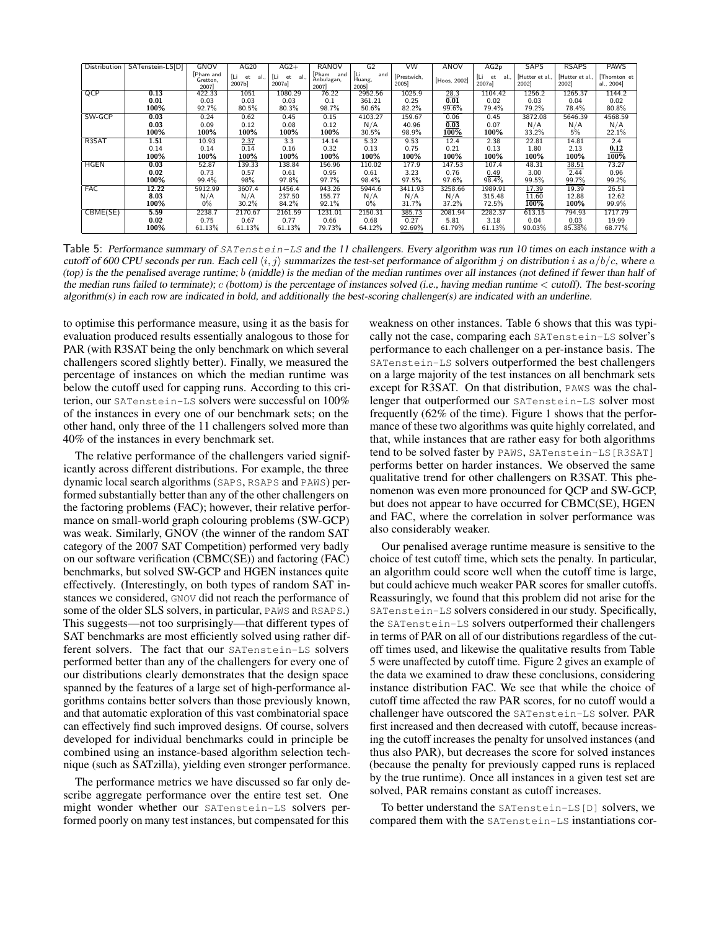| Distribution | SATenstein-LS[D] | GNOV                          | AG20               | $AG2+$                      | <b>RANOV</b>                   | G <sub>2</sub>               | VW                  | ANOV         | AG <sub>2p</sub>          | <b>SAPS</b>            | <b>RSAPS</b>           | <b>PAWS</b>               |
|--------------|------------------|-------------------------------|--------------------|-----------------------------|--------------------------------|------------------------------|---------------------|--------------|---------------------------|------------------------|------------------------|---------------------------|
|              |                  | [Pham and<br>Gretton.<br>2007 | al<br>et<br>2007b] | ÍLi.<br>et<br>al.<br>2007a] | Pham and<br>Anbulagan,<br>2007 | [Li<br>Huang,<br>and<br>2005 | [Prestwich,<br>2005 | [Hoos, 2002] | ن ا<br>al<br>et<br>2007a] | Hutter et al.,<br>2002 | Hutter et al.,<br>2002 | Thornton et<br>al., 2004] |
| QCP          | 0.13             | 422.33                        | 1051               | 1080.29                     | 76.22                          | 2952.56                      | 1025.9              | 28.3         | 1104.42                   | 1256.2                 | 1265.37                | 1144.2                    |
|              | 0.01             | 0.03                          | 0.03               | 0.03                        | 0.1                            | 361.21                       | 0.25                | 0.01         | 0.02                      | 0.03                   | 0.04                   | 0.02                      |
|              | 100%             | 92.7%                         | 80.5%              | 80.3%                       | 98.7%                          | 50.6%                        | 82.2%               | 99.6%        | 79.4%                     | 79.2%                  | 78.4%                  | 80.8%                     |
| SW-GCP       | 0.03             | 0.24                          | 0.62               | 0.45                        | 0.15                           | 4103.27                      | 159.67              | 0.06         | 0.45                      | 3872.08                | 5646.39                | 4568.59                   |
|              | 0.03             | 0.09                          | 0.12               | 0.08                        | 0.12                           | N/A                          | 40.96               | 0.03         | 0.07                      | N/A                    | N/A                    | N/A                       |
|              | 100%             | 100%                          | 100%               | 100%                        | 100%                           | 30.5%                        | 98.9%               | $100\%$      | 100%                      | 33.2%                  | 5%                     | 22.1%                     |
| R3SAT        | 1.51             | 10.93                         | 2.37               | 3.3                         | 14.14                          | 5.32                         | 9.53                | 12.4         | 2.38                      | 22.81                  | 14.81                  | 2.4                       |
|              | 0.14             | 0.14                          | 0.14               | 0.16                        | 0.32                           | 0.13                         | 0.75                | 0.21         | 0.13                      | 1.80                   | 2.13                   | 0.12                      |
|              | 100%             | 100%                          | 100%               | 100%                        | 100%                           | 100%                         | 100%                | 100%         | 100%                      | 100%                   | 100%                   | 100%                      |
| <b>HGEN</b>  | 0.03             | 52.87                         | 139.33             | 138.84                      | 156.96                         | 110.02                       | 177.9               | 147.53       | 107.4                     | 48.31                  | 38.51                  | 73.27                     |
|              | 0.02             | 0.73                          | 0.57               | 0.61                        | 0.95                           | 0.61                         | 3.23                | 0.76         | 0.49                      | 3.00                   | 2.44                   | 0.96                      |
|              | 100%             | 99.4%                         | 98%                | 97.8%                       | 97.7%                          | 98.4%                        | 97.5%               | 97.6%        | 98.4%                     | 99.5%                  | 99.7%                  | 99.2%                     |
| <b>FAC</b>   | 12.22            | 5912.99                       | 3607.4             | 1456.4                      | 943.26                         | 5944.6                       | 3411.93             | 3258.66      | 1989.91                   | 17.39                  | 19.39                  | 26.51                     |
|              | 8.03             | N/A                           | N/A                | 237.50                      | 155.77                         | N/A                          | N/A                 | N/A          | 315.48                    | 11.60                  | 12.88                  | 12.62                     |
|              | 100%             | $0\%$                         | 30.2%              | 84.2%                       | 92.1%                          | $0\%$                        | 31.7%               | 37.2%        | 72.5%                     | 100%                   | 100%                   | 99.9%                     |
| CBME(SE)     | 5.59             | 2238.7                        | 2170.67            | 2161.59                     | 1231.01                        | 2150.31                      | 385.73              | 2081.94      | 2282.37                   | 613.15                 | 794.93                 | 1717.79                   |
|              | 0.02             | 0.75                          | 0.67               | 0.77                        | 0.66                           | 0.68                         | 0.27                | 5.81         | 3.18                      | 0.04                   | 0.03                   | 19.99                     |
|              | 100%             | 61.13%                        | 61.13%             | 61.13%                      | 79.73%                         | 64.12%                       | 92.69%              | 61.79%       | 61.13%                    | 90.03%                 | 85.38%                 | 68.77%                    |

Table 5: Performance summary of SATenstein-LS and the 11 challengers. Every algorithm was run 10 times on each instance with a cutoff of 600 CPU seconds per run. Each cell  $\langle i, j \rangle$  summarizes the test-set performance of algorithm j on distribution i as  $a/b/c$ , where a (top) is the the penalised average runtime; b (middle) is the median of the median runtimes over all instances (not defined if fewer than half of the median runs failed to terminate);  $c$  (bottom) is the percentage of instances solved (i.e., having median runtime  $\lt$  cutoff). The best-scoring algorithm(s) in each row are indicated in bold, and additionally the best-scoring challenger(s) are indicated with an underline.

to optimise this performance measure, using it as the basis for evaluation produced results essentially analogous to those for PAR (with R3SAT being the only benchmark on which several challengers scored slightly better). Finally, we measured the percentage of instances on which the median runtime was below the cutoff used for capping runs. According to this criterion, our SATenstein-LS solvers were successful on 100% of the instances in every one of our benchmark sets; on the other hand, only three of the 11 challengers solved more than 40% of the instances in every benchmark set.

The relative performance of the challengers varied significantly across different distributions. For example, the three dynamic local search algorithms (SAPS, RSAPS and PAWS) performed substantially better than any of the other challengers on the factoring problems (FAC); however, their relative performance on small-world graph colouring problems (SW-GCP) was weak. Similarly, GNOV (the winner of the random SAT category of the 2007 SAT Competition) performed very badly on our software verification (CBMC(SE)) and factoring (FAC) benchmarks, but solved SW-GCP and HGEN instances quite effectively. (Interestingly, on both types of random SAT instances we considered, GNOV did not reach the performance of some of the older SLS solvers, in particular, PAWS and RSAPS.) This suggests—not too surprisingly—that different types of SAT benchmarks are most efficiently solved using rather different solvers. The fact that our SATenstein-LS solvers performed better than any of the challengers for every one of our distributions clearly demonstrates that the design space spanned by the features of a large set of high-performance algorithms contains better solvers than those previously known, and that automatic exploration of this vast combinatorial space can effectively find such improved designs. Of course, solvers developed for individual benchmarks could in principle be combined using an instance-based algorithm selection technique (such as SATzilla), yielding even stronger performance.

The performance metrics we have discussed so far only describe aggregate performance over the entire test set. One might wonder whether our SATenstein-LS solvers performed poorly on many test instances, but compensated for this

weakness on other instances. Table 6 shows that this was typically not the case, comparing each SATenstein-LS solver's performance to each challenger on a per-instance basis. The SATenstein-LS solvers outperformed the best challengers on a large majority of the test instances on all benchmark sets except for R3SAT. On that distribution, PAWS was the challenger that outperformed our SATenstein-LS solver most frequently (62% of the time). Figure 1 shows that the performance of these two algorithms was quite highly correlated, and that, while instances that are rather easy for both algorithms tend to be solved faster by PAWS, SATenstein-LS[R3SAT] performs better on harder instances. We observed the same qualitative trend for other challengers on R3SAT. This phenomenon was even more pronounced for QCP and SW-GCP, but does not appear to have occurred for CBMC(SE), HGEN and FAC, where the correlation in solver performance was also considerably weaker.

Our penalised average runtime measure is sensitive to the choice of test cutoff time, which sets the penalty. In particular, an algorithm could score well when the cutoff time is large, but could achieve much weaker PAR scores for smaller cutoffs. Reassuringly, we found that this problem did not arise for the SATenstein-LS solvers considered in our study. Specifically, the SATenstein-LS solvers outperformed their challengers in terms of PAR on all of our distributions regardless of the cutoff times used, and likewise the qualitative results from Table 5 were unaffected by cutoff time. Figure 2 gives an example of the data we examined to draw these conclusions, considering instance distribution FAC. We see that while the choice of cutoff time affected the raw PAR scores, for no cutoff would a challenger have outscored the SATenstein-LS solver. PAR first increased and then decreased with cutoff, because increasing the cutoff increases the penalty for unsolved instances (and thus also PAR), but decreases the score for solved instances (because the penalty for previously capped runs is replaced by the true runtime). Once all instances in a given test set are solved, PAR remains constant as cutoff increases.

To better understand the SATenstein-LS[D] solvers, we compared them with the SATenstein-LS instantiations cor-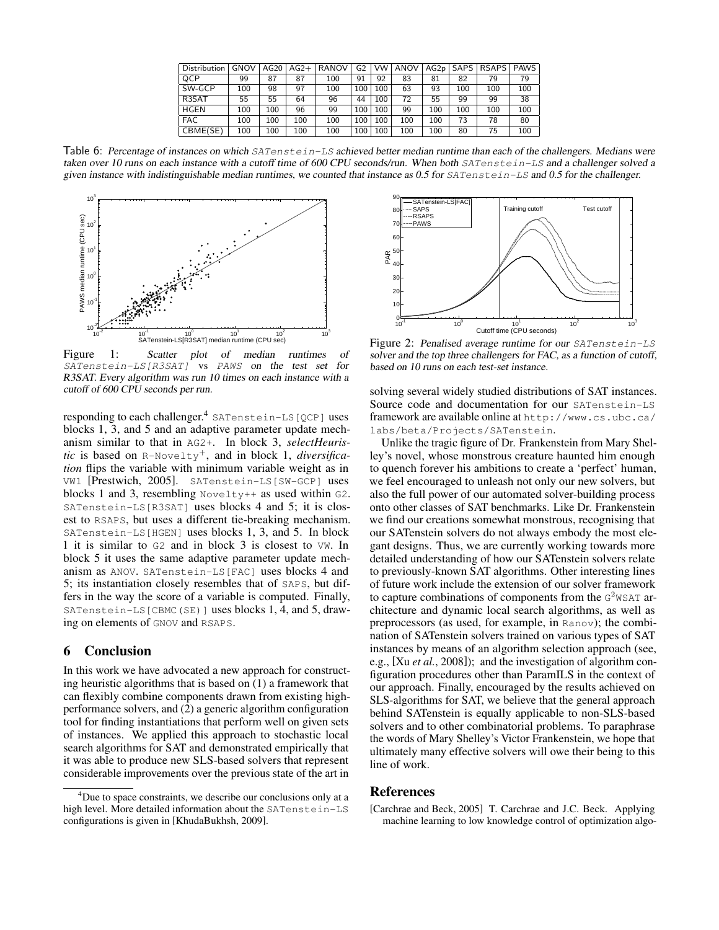| Distribution | <b>GNOV</b> | AG20 | $AG2+$ | <b>RANOV</b> | G <sub>2</sub> | <b>VW</b> | ANOV | AG2p | SAPS I | <b>RSAPS</b> | <b>PAWS</b> |
|--------------|-------------|------|--------|--------------|----------------|-----------|------|------|--------|--------------|-------------|
| QCP          | 99          | 87   | 87     | 100          | 91             | 92        | 83   | 81   | 82     | 79           | 79          |
| SW-GCP       | 100         | 98   | 97     | 100          | 100            | 100       | 63   | 93   | 100    | 100          | 100         |
| R3SAT        | 55          | 55   | 64     | 96           | 44             | 100       | 72   | 55   | 99     | 99           | 38          |
| <b>HGEN</b>  | LOO         | 100  | 96     | 99           | 100            | 100       | 99   | 100  | 100    | 100          | 100         |
| <b>FAC</b>   | LOO         | 100  | 100    | 100          | 100            | 100       | 100  | 100  | 73     | 78           | 80          |
| CBME(SE)     | 100         | 100  | 100    | 100          | 100            | 100       | 100  | 100  | 80     | 75           | 100         |

Table 6: Percentage of instances on which SATenstein-LS achieved better median runtime than each of the challengers. Medians were taken over 10 runs on each instance with a cutoff time of 600 CPU seconds/run. When both SATenstein-LS and a challenger solved a given instance with indistinguishable median runtimes, we counted that instance as 0.5 for  $SATenstein-LS$  and 0.5 for the challenger.



Figure 1: Scatter plot of median runtimes of SATenstein-LS[R3SAT] vs PAWS on the test set for R3SAT. Every algorithm was run 10 times on each instance with a cutoff of 600 CPU seconds per run.

responding to each challenger.<sup>4</sup> SATenstein-LS [QCP] uses blocks 1, 3, and 5 and an adaptive parameter update mechanism similar to that in AG2+. In block 3, *selectHeuristic* is based on R-Novelty<sup>+</sup>, and in block 1, *diversification* flips the variable with minimum variable weight as in VW1 [Prestwich, 2005]. SATenstein-LS[SW-GCP] uses blocks 1 and 3, resembling Novelty++ as used within G2. SATenstein-LS[R3SAT] uses blocks 4 and 5; it is closest to RSAPS, but uses a different tie-breaking mechanism. SATenstein-LS[HGEN] uses blocks 1, 3, and 5. In block 1 it is similar to G2 and in block 3 is closest to VW. In block 5 it uses the same adaptive parameter update mechanism as ANOV. SATenstein-LS[FAC] uses blocks 4 and 5; its instantiation closely resembles that of SAPS, but differs in the way the score of a variable is computed. Finally, SATenstein-LS[CBMC(SE)] uses blocks 1, 4, and 5, drawing on elements of GNOV and RSAPS.

### 6 Conclusion

In this work we have advocated a new approach for constructing heuristic algorithms that is based on (1) a framework that can flexibly combine components drawn from existing highperformance solvers, and (2) a generic algorithm configuration tool for finding instantiations that perform well on given sets of instances. We applied this approach to stochastic local search algorithms for SAT and demonstrated empirically that it was able to produce new SLS-based solvers that represent considerable improvements over the previous state of the art in



Figure 2: Penalised average runtime for our SATenstein-LS solver and the top three challengers for FAC, as a function of cutoff, based on 10 runs on each test-set instance.

solving several widely studied distributions of SAT instances. Source code and documentation for our SATenstein-LS framework are available online at http://www.cs.ubc.ca/ labs/beta/Projects/SATenstein.

Unlike the tragic figure of Dr. Frankenstein from Mary Shelley's novel, whose monstrous creature haunted him enough to quench forever his ambitions to create a 'perfect' human, we feel encouraged to unleash not only our new solvers, but also the full power of our automated solver-building process onto other classes of SAT benchmarks. Like Dr. Frankenstein we find our creations somewhat monstrous, recognising that our SATenstein solvers do not always embody the most elegant designs. Thus, we are currently working towards more detailed understanding of how our SATenstein solvers relate to previously-known SAT algorithms. Other interesting lines of future work include the extension of our solver framework to capture combinations of components from the  $G^2WSAT$  architecture and dynamic local search algorithms, as well as preprocessors (as used, for example, in Ranov); the combination of SATenstein solvers trained on various types of SAT instances by means of an algorithm selection approach (see, e.g., [Xu *et al.*, 2008]); and the investigation of algorithm configuration procedures other than ParamILS in the context of our approach. Finally, encouraged by the results achieved on SLS-algorithms for SAT, we believe that the general approach behind SATenstein is equally applicable to non-SLS-based solvers and to other combinatorial problems. To paraphrase the words of Mary Shelley's Victor Frankenstein, we hope that ultimately many effective solvers will owe their being to this line of work.

#### References

[Carchrae and Beck, 2005] T. Carchrae and J.C. Beck. Applying machine learning to low knowledge control of optimization algo-

<sup>&</sup>lt;sup>4</sup>Due to space constraints, we describe our conclusions only at a high level. More detailed information about the SATenstein-LS configurations is given in [KhudaBukhsh, 2009].